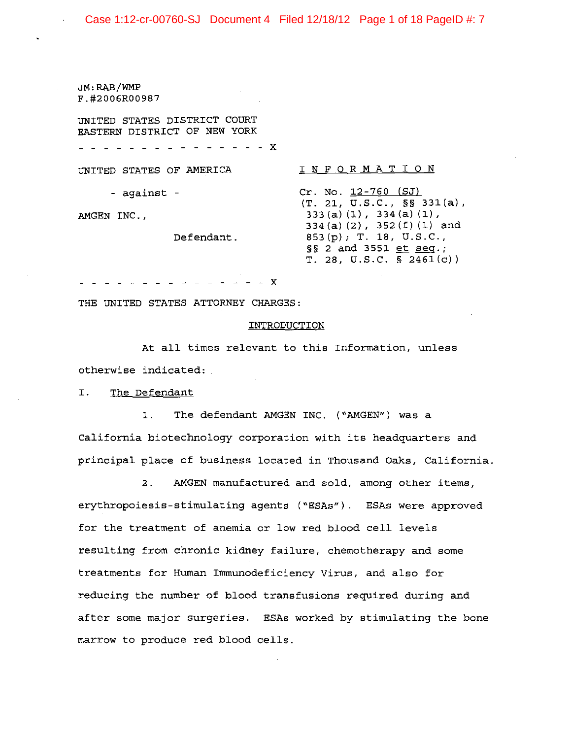## Case 1:12-cr-00760-SJ Document 4 Filed 12/18/12 Page 1 of 18 PageID #: 7

JM:RAB/WMP F.#2006R00987

AMGEN INC.,

UNITED STATES DISTRICT COURT EASTERN DISTRICT OF NEW YORK

- - - X

UNITED STATES OF AMERICA

- against -

## I N FOR MAT ION

Cr. No. 12-760 (SJ) (T. 21, U.S.C., §§ 331(a), 333 (a) (1), 334 (a) (1) , 334 (a) (2), 352 (f) (1) and 853(p); T. 18, U.S.C., §§ 2 and 3551 et seq.; T. 28, U.S.C. § 2461(c))

- - - - - - X

THE UNITED STATES ATTORNEY CHARGES:

Defendant.

#### INTRODUCTION

At all times relevant to this Information, unless otherwise indicated:

I. The Defendant

1. The defendant AMGEN INC. ("AMGEN") was a California biotechnology corporation with its headquarters and principal place of business located in Thousand Oaks, California.

2. AMGEN manufactured and sold, among other items, erythropoiesis-stimulating agents ("ESAs"). ESAs were approved for the treatment of anemia or low red blood cell levels resulting from chronic kidney failure, chemotherapy and some treatments for Human Immunodeficiency virus, and also for reducing the number of blood transfusions required during and after some major surgeries. ESAs worked by stimulating the bone marrow to produce red blood cells.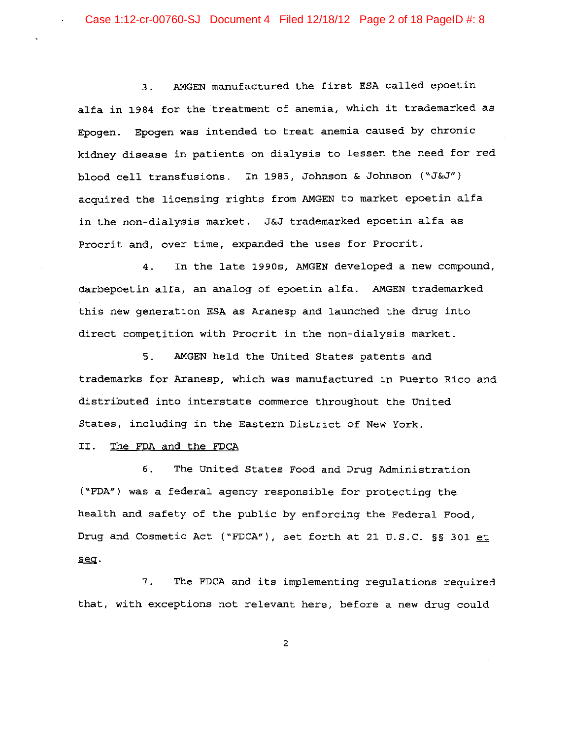3. AMGEN manufactured the first ESA called epoetin alfa in 1984 for the treatment of anemia, which it trademarked as Epogen. Epogen was intended to treat anemia caused by chronic kidney disease in patients on dialysis to lessen the need for red blood cell transfusions. In 1985, Johnson & Johnson ("J&J") acquired the licensing rights from AMGEN to market epoetin alfa in the non-dialysis market. J&J trademarked epoetin alfa as Procrit and, over time, expanded the uses for Procrit.

4. In the late 1990s, AMGEN developed a new compound, darbepoetin alfa, an analog of epoetin alfa. AMGEN trademarked this new generation ESA as Aranesp and launched the drug into direct competition with Procrit in the non-dialysis market.

5. AMGEN held the United States patents and trademarks for Aranesp, which was manufactured in Puerto Rico and distributed into interstate commerce throughout the United States, including in the Eastern District of New York.

II. The FDA and the FDCA

6. The United States Food and Drug Administration ("FDA") was a federal agency responsible for protecting the health and safety of the public by enforcing the Federal Food, Drug and Cosmetic Act ("FDCA"), set forth at 21 U.S.C. §§ 301 et seq.

7. The FDCA and its implementing regulations required that, with exceptions not relevant here, before a new drug could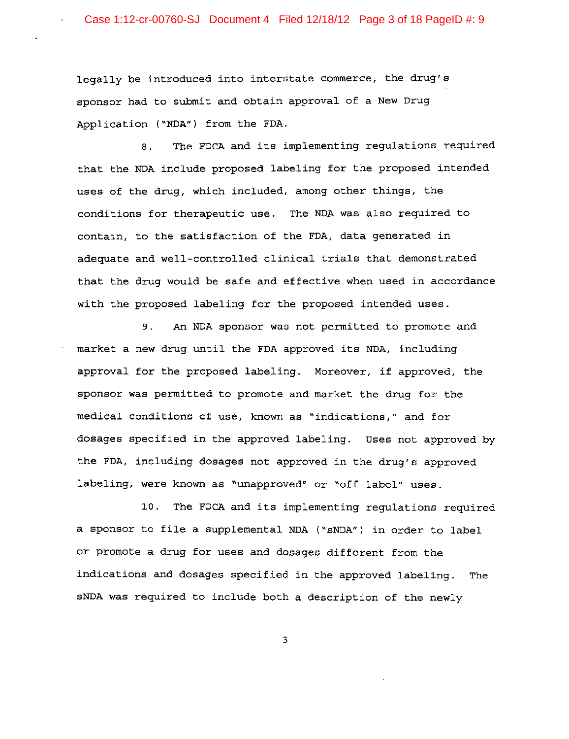legally be introduced into interstate commerce, the drug's sponsor had to submit and obtain approval of a New Drug Application ("NDA") from the FDA.

8. The FDCA and its implementing regulations required that the NDA include proposed labeling for the proposed intended uses of the drug, which included, among other things, the conditions for therapeutic use. The NDA was also required to contain, to the satisfaction of the FDA, data generated in adequate and well-controlled clinical trials that demonstrated that the drug would be safe and effective when used in accordance with the proposed labeling for the proposed intended uses.

9. An NDA sponsor was not permitted to promote and market a new drug until the FDA approved its NDA, including approval for the proposed labeling. Moreover, if approved, the sponsor was permitted to promote and market the drug for the medical conditions of use, known as "indications," and for dosages specified in the approved labeling. Uses not approved by the FDA, including dosages not approved in the drug's approved labeling, were known as "unapproved" or "off-label" uses.

10. The FDCA and its implementing regulations required a sponsor to file a supplemental NDA ("sNDA") in order to label or promote a drug for uses and dosages different from the indications and dosages specified in the approved labeling. The sNDA was required to include both a description of the newly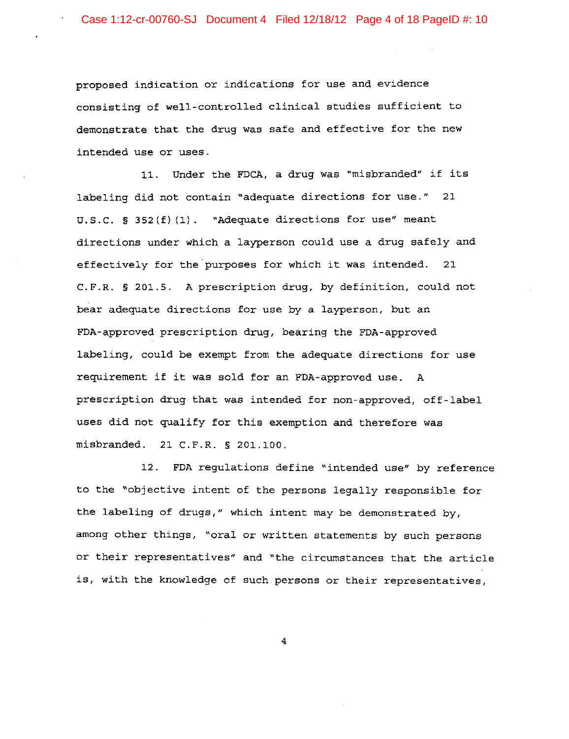proposed indication or indications for use and evidence consisting of well-controlled clinical studies sufficient to demonstrate that the drug was safe and effective for the new intended use or uses.

11. Under the FDCA, a drug was "misbranded" if its labeling did not contain "adequate directions for use." 21 U.S.C. § 352(f) (1). "Adequate directions for use" meant directions under which a layperson could use a drug safely and effectively for the purposes for which it was intended. 21 C.F.R. § 201.5. A prescription drug, by definition, could not bear adequate directions for use by a layperson, but an FDA-approved prescription drug, bearing the FDA-approved labeling, could be exempt from the adequate directions for use requirement if it was sold for an FDA-approved use. A prescription drug that was intended for non-approved, off-label uses did not qualify for this exemption and therefore was misbranded. 21 C.F.R. § 201.100.

12. FDA regulations define "intended use" by reference to the "objective intent of the persons legally responsible for the labeling of drugs," which intent may be demonstrated by, among other things, "oral or written statements by such persons or their representatives" and "the circumstances that the article is, with the knowledge of such persons or their representatives,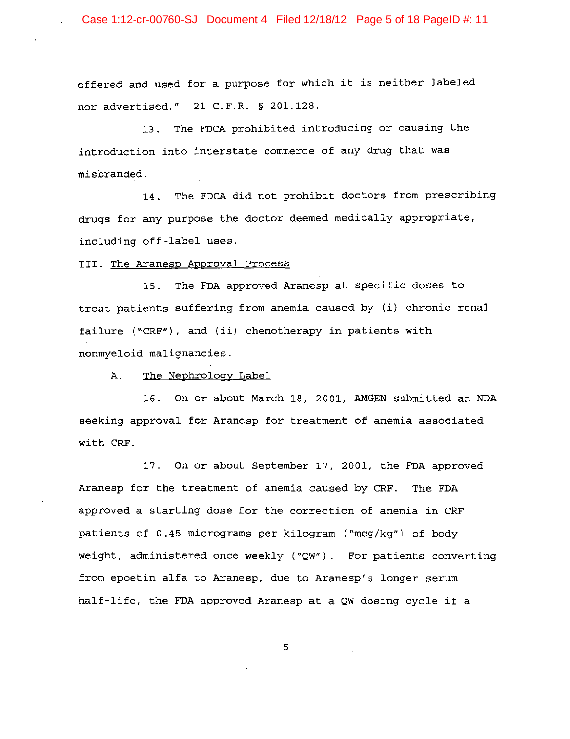Case 1:12-cr-00760-SJ Document 4 Filed 12/18/12 Page 5 of 18 PageID #: 11

offered and used for a purpose for which it is neither labeled nor advertised." 21 C.F.R. § 201.128.

13. The FDCA prohibited introducing or causing the introduction into interstate commerce of any drug that was misbranded.

14. The FDCA did not prohibit doctors from prescribing drugs for any purpose the doctor deemed medically appropriate, including off-label uses.

III. The Aranesp Approval Process

15. The FDA approved Aranesp at specific doses to treat patients suffering from anemia caused by (i) chronic renal failure ("CRF"), and (ii) chemotherapy in patients with nonmyeloid malignancies.

A. The Nephrology Label

16. On or about March 18, 2001, AMGEN submitted an NDA seeking approval for Aranesp for treatment of anemia associated with CRF.

17. On or about September 17, 2001, the FDA approved Aranesp for the treatment of anemia caused by CRF. The FDA approved a starting dose for the correction of anemia in CRF patients of 0.45 micrograms per kilogram ("mcg/kg") of body weight, administered once weekly ("QW"). For patients converting from epoetin alfa to Aranesp, due to Aranesp's longer serum half-life, the FDA approved Aranesp at a QW dosing cycle if a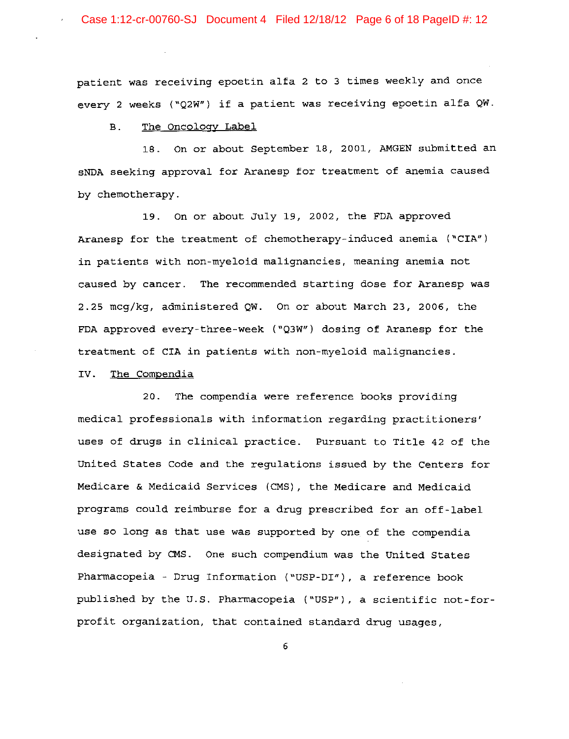patient was receiving epoetin alfa 2 to 3 times weekly and once every 2 weeks ("Q2W") if a patient was receiving epoetin alfa QW.

### B. The Oncology Label

18. On or about September 18, 2001, AMGEN submitted an sNDA seeking approval for Aranesp for treatment of anemia caused by chemotherapy.

19. On or about July 19, 2002, the FDA approved Aranesp for the treatment of chemotherapy-induced anemia ("CIA") in patients with non-myeloid malignancies, meaning anemia not caused by cancer. The recommended starting dose for Aranesp was 2.25 mcg/kg, administered QW. On or about March 23, 2006, the FDA approved every-three-week ("Q3W") dosing of Aranesp for the treatment of CIA in patients with non-myeloid malignancies.

#### IV. The Compendia

20. The compendia were reference books providing medical professionals with information regarding practitioners' uses of drugs in clinical practice. Pursuant to Title 42 of the United States Code and the regulations issued by the Centers for Medicare & Medicaid Services (CMS) , the Medicare and Medicaid programs could reimburse for a drug prescribed for an off-label use so long as that use was supported by one of the compendia designated by CMS. One such compendium was the United States Pharmacopeia - Drug Information ("USP-DI"), a reference book published by the u.S. Pharmacopeia ("USP"), a scientific not-forprofit organization, that contained standard drug usages,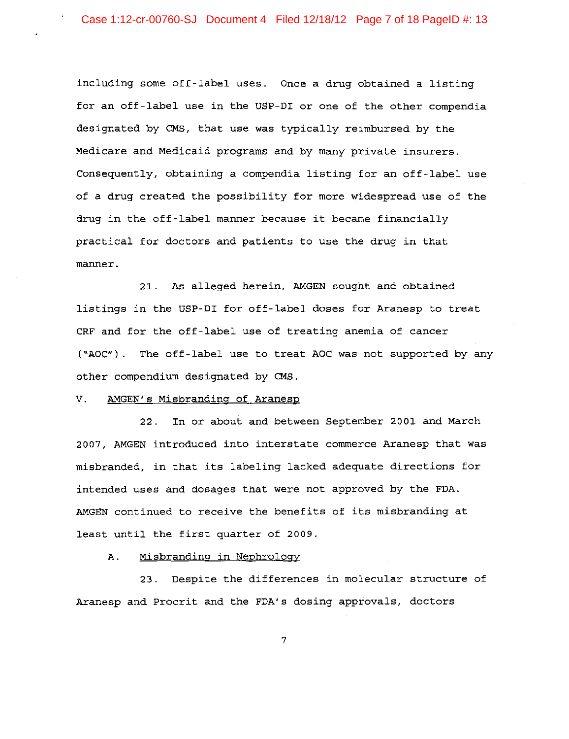including some off-label uses. Once a drug obtained a listing for an off-label use in the USP-DI or one of the other compendia designated by CMS, that use was typically reimbursed by the Medicare and Medicaid programs and by many private insurers. Consequently, obtaining a compendia listing for an off-label use of a drug created the possibility for more widespread use of the drug in the off-label manner because it became financially practical for doctors and patients to use the drug in that manner.

21. As alleged herein, AMGEN sought and obtained listings in the USP-DI for off-label doses for Aranesp to treat CRF and for the off-label use of treating anemia of cancer ("AOC"). The off-label use to treat AOC was not supported by any other compendium designated by CMS.

## v. AMGEN's Misbranding of Aranesp

22. In or about and between September 2001 and March 2007, AMGEN introduced into interstate commerce Aranesp that was misbranded, in that its labeling lacked adequate directions for intended uses and dosages that were not approved by the FDA. AMGEN continued to receive the benefits of its misbranding at least until the first quarter of 2009.

# A. Misbranding in Nephrology

23. Despite the differences in molecular structure of Aranesp and Procrit and the FDA's dosing approvals, doctors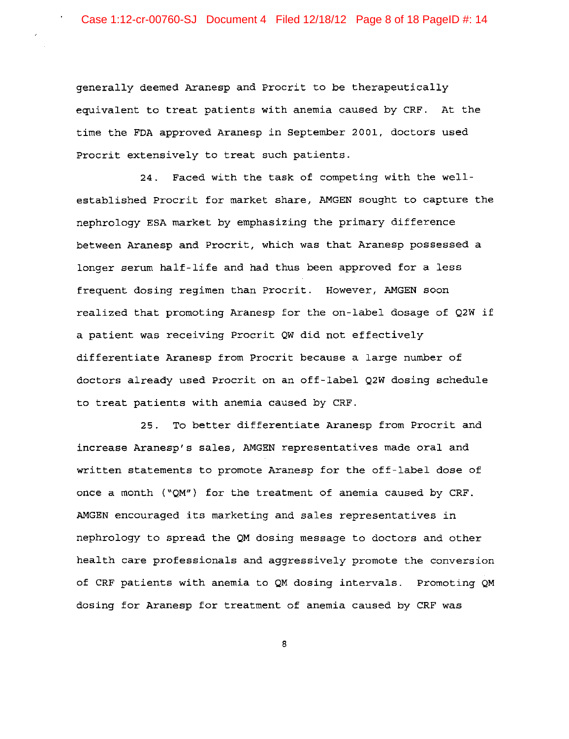generally deemed Aranesp and Procrit to be therapeutically equivalent to treat patients with anemia caused by CRF. At the time the FDA approved Aranesp in September 2001, doctors used Procrit extensively to treat such patients.

24. Faced with the task of competing with the wellestablished Procrit for market share, AMGEN sought to capture the nephrology ESA market by emphasizing the primary difference between Aranesp and Procrit, which was that Aranesp possessed a longer serum half-life and had thus been approved for a less frequent dosing regimen than Procrit. However, AMGEN soon realized that promoting Aranesp for the on-label dosage of Q2W if a patient was receiving Procrit QW did not effectively differentiate Aranesp from Procrit because a large number of doctors already used Procrit on an off-label Q2W dosing schedule to treat patients with anemia caused by CRF.

25. To better differentiate Aranesp from Procrit and increase Aranesp's sales, AMGEN representatives made oral and written statements to promote Aranesp for the off-label dose of once a month ("QM") for the treatment of anemia caused by CRF. AMGEN encouraged its marketing and sales representatives in nephrology to spread the QM dosing message to doctors and other health care professionals and aggressively promote the conversion of CRF patients with anemia to QM dosing intervals. promoting QM dosing for Aranesp for treatment of anemia caused by CRF was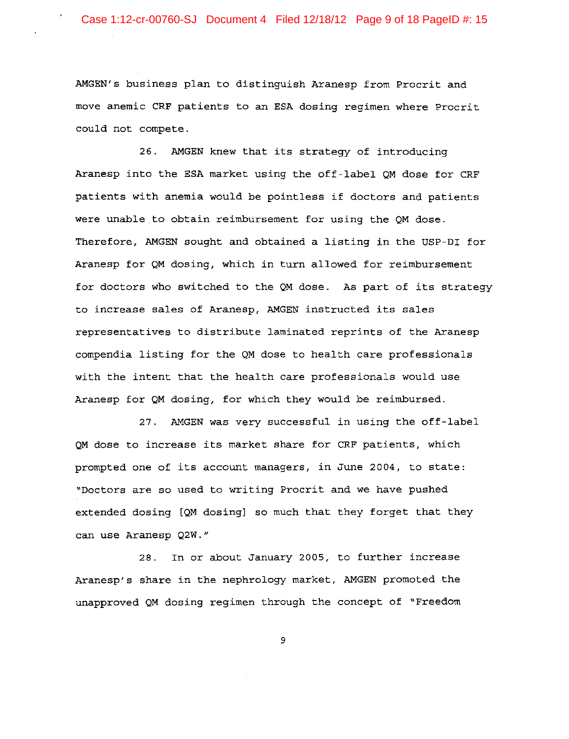AMGEN's business plan to distinguish Aranesp from Procrit and move anemic CRF patients to an ESA dosing regimen where Procrit could not compete.

26. AMGEN knew that its strategy of introducing Aranesp into the ESA market using the off-label QM dose for CRF patients with anemia would be pointless if doctors and patients were unable to obtain reimbursement for using the QM dose. Therefore, AMGEN sought and obtained a listing in the USP-DI for Aranesp for QM dosing, which in turn allowed for reimbursement for doctors who switched to the QM dose. As part of its strategy to increase sales of Aranesp, AMGEN instructed its sales representatives to distribute laminated reprints of the Aranesp compendia listing for the QM dose to health care professionals with the intent that the health care professionals would use Aranesp for QM dosing, for which they would be reimbursed.

27. AMGEN was very successful in using the off-label QM dose to increase its market share for CRF patients, which prompted one of its account managers, in June 2004, to state: "Doctors are so used to writing Procrit and we have pushed extended dosing [QM dosing] so much that they forget that they can use Aranesp Q2W."

28. In or about January 2005, to further increase Aranesp's share in the nephrology market, AMGEN promoted the unapproved QM dosing regimen through the concept of "Freedom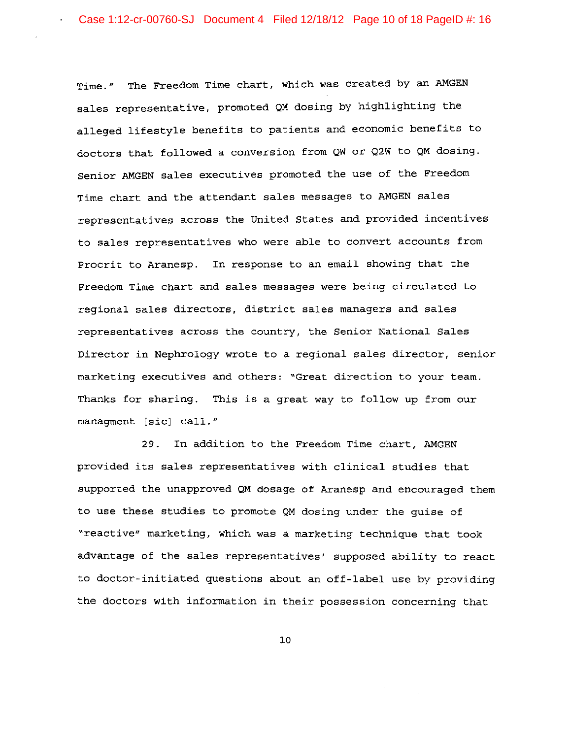Time." The Freedom Time chart, which was created by an AMGEN sales representative, promoted QM dosing by highlighting the alleged lifestyle benefits to patients and economic benefits to doctors that followed a conversion from QW or Q2W to QM dosing. Senior AMGEN sales executives promoted the use of the Freedom Time chart and the attendant sales messages to AMGEN sales representatives across the United States and provided incentives to sales representatives who were able to convert accounts from Procrit to Aranesp. In response to an email showing that the Freedom Time chart and sales messages were being circulated to regional sales directors, district sales managers and sales representatives across the country, the Senior National Sales Director in Nephrology wrote to a regional sales director, senior marketing executives and others: "Great direction to your team. Thanks for sharing. This is a great way to follow up from our managment [sic] call."

29. In addition to the Freedom Time chart, AMGEN provided its sales representatives with clinical studies that supported the unapproved QM dosage of Aranesp and encouraged them to use these studies to promote QM dosing under the guise of "reactive" marketing, which was a marketing technique that took advantage of the sales representatives' supposed ability to react to doctor-initiated questions about an off-label use by providing the doctors with information in their possession concerning that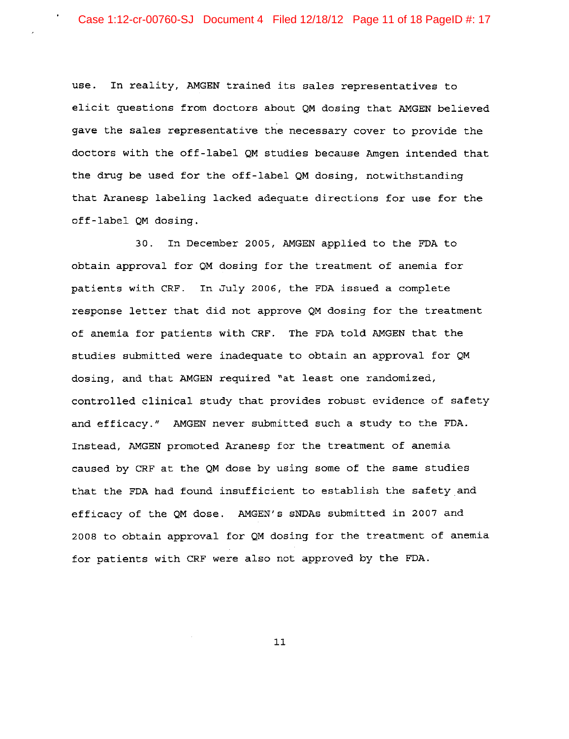use. In reality, AMGEN trained its sales representatives to elicit questions from doctors about QM dosing that AMGEN believed gave the sales representative the necessary cover to provide the doctors with the off-label QM studies because Amgen intended that the drug be used for the off-label QM dosing, notwithstanding that Aranesp labeling lacked adequate directions for use for the off-label QM dosing.

30. In December 2005, AMGEN applied to the FDA to obtain approval for QM dosing for the treatment of anemia for patients with CRF. In July 2006, the FDA issued a complete response letter that did not approve QM dosing for the treatment of anemia for patients with CRF. The FDA told AMGEN that the studies submitted were inadequate to obtain an approval for QM dosing, and that AMGEN required "at least one randomized, controlled clinical study that provides robust evidence of safety and efficacy." AMGEN never submitted such a study to the FDA. Instead, AMGEN promoted Aranesp for the treatment of anemia caused by CRF at the QM dose by using some of the same studies that the FDA had found insufficient to establish the safety and efficacy of the QM dose. AMGEN's sNDAs submitted in 2007 and 2008 to obtain approval for QM dosing for the treatment of anemia for patients with CRF were also not approved by the FDA.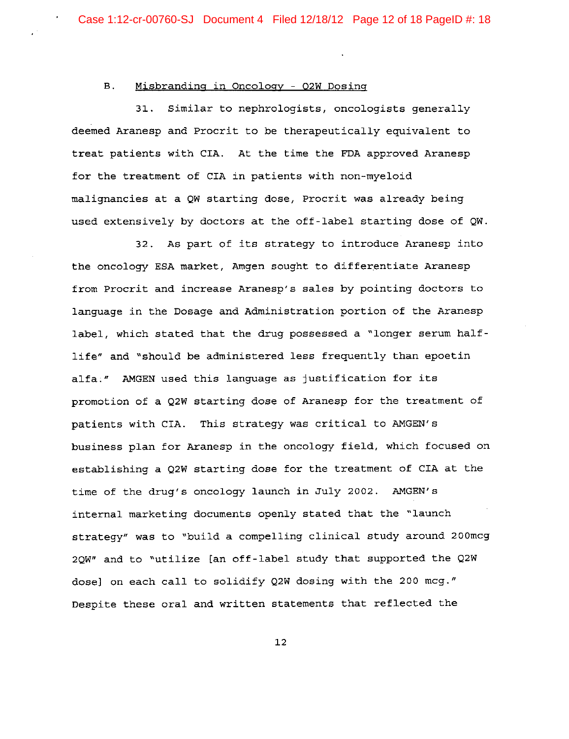#### B. Misbranding **in** Oncology - 02W Dosing

31. Similar to nephrologists, oncologists generally deemed Aranesp and Procrit to be therapeutically equivalent to treat patients with CIA. At the time the FDA approved Aranesp for the treatment of CIA in patients with non-myeloid malignancies at a QW starting dose, Procrit was already being used extensively by doctors at the off-label starting dose of QW.

32. As part of its strategy to introduce Aranesp into the oncology ESA market, Amgen sought to differentiate Aranesp from Procrit and increase Aranesp's sales by pointing doctors to language in the Dosage and Administration portion of the Aranesp label, which stated that the drug possessed a "longer serum halflife" and "should be administered less frequently than epoetin alfa." AMGEN used this language as justification for its promotion of a Q2W starting dose of Aranesp for the treatment of patients with CIA. This strategy was critical to AMGEN's business plan for Aranesp in the oncology field, which focused on establishing a Q2W starting dose for the treatment of CIA at the time of the drug's oncology launch **in** July 2002. AMGEN's internal marketing documents openly stated that the "launch strategy" was to "build a compelling clinical study around 200mcg 2QW" and to "utilize [an off-label study that supported the Q2W dose] on each call to solidify Q2W dosing with the 200 mcg." Despite these oral and written statements that reflected the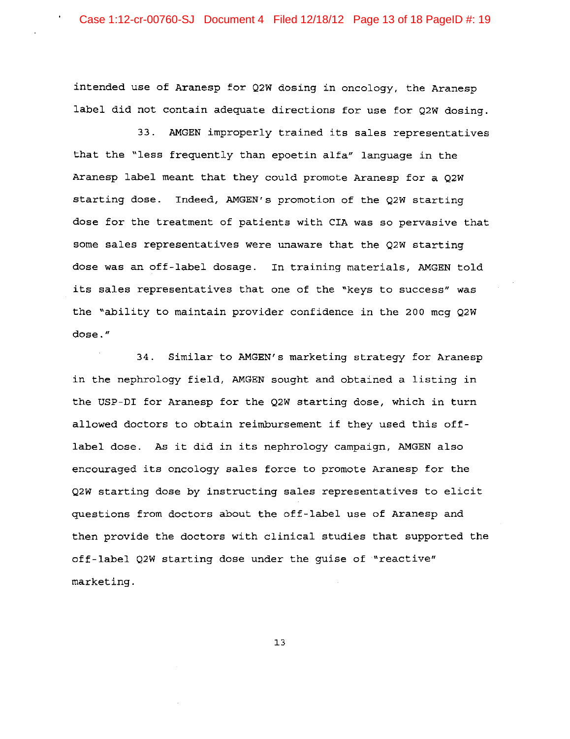intended use of Aranesp for Q2W dosing in oncology, the Aranesp label did not contain adequate directions for use for Q2W dosing.

33. AMGEN improperly trained its sales representatives that the "less frequently than epoetin alfa" language in the Aranesp label meant that they could promote Aranesp for a Q2W starting dose. Indeed, AMGEN's promotion of the Q2W starting dose for the treatment of patients with CIA was so pervasive that some sales representatives were unaware that the Q2W starting dose was an off-label dosage. In training materials, AMGEN told its sales representatives that one of the "keys to success" was the "ability to maintain provider confidence in the 200 mcg Q2W **dose."** 

34. Similar to AMGEN's marketing strategy for Aranesp in the nephrology field, AMGEN sought and obtained a listing in the USP-DI for Aranesp for the Q2W starting dose, which in turn allowed doctors to obtain reimbursement if they used this offlabel dose. As it did in its nephrology campaign, AMGEN also encouraged its oncology sales force to promote Aranesp for the Q2W starting dose by instructing sales representatives to elicit questions from doctors about the off-label use of Aranesp and then provide the doctors with clinical studies that supported the off-label Q2W starting dose under the guise of "reactive" marketing.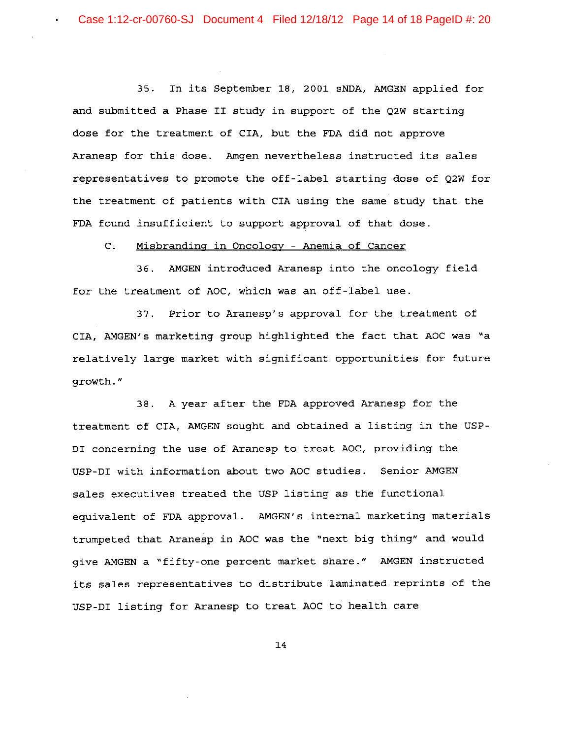35. In its September 18, 2001 sNDA, AMGEN applied for and submitted a Phase II study in support of the Q2W starting dose for the treatment of CIA, but the FDA did not approve Aranesp for this dose. Amgen nevertheless instructed its sales representatives to promote the off-label starting dose of Q2W for the treatment of patients with CIA using the same study that the FDA found insufficient to support approval of that dose.

C. Misbranding in Oncology - Anemia of Cancer

36. AMGEN introduced Aranesp into the oncology field for the treatment of AOC, which was an off-label use.

37. Prior to Aranesp's approval for the treatment of CIA, AMGEN's marketing group highlighted the fact that AOC was "a relatively large market with significant opportunities for future growth."

38. A year after the FDA approved Aranesp for the treatment of CIA, AMGEN sought and obtained a listing in the USP-DI concerning the use of Aranesp to treat AOC, providing the USP-DI with information about two AOC studies. Senior AMGEN sales executives treated the USP listing as the functional equivalent of FDA approval. AMGEN's internal marketing materials trumpeted that Aranesp in AOC was the "next big thing" and would give AMGEN a "fifty-one percent market share." AMGEN instructed its sales representatives to distribute laminated reprints of the USP-DI listing for Aranesp to treat AOC to health care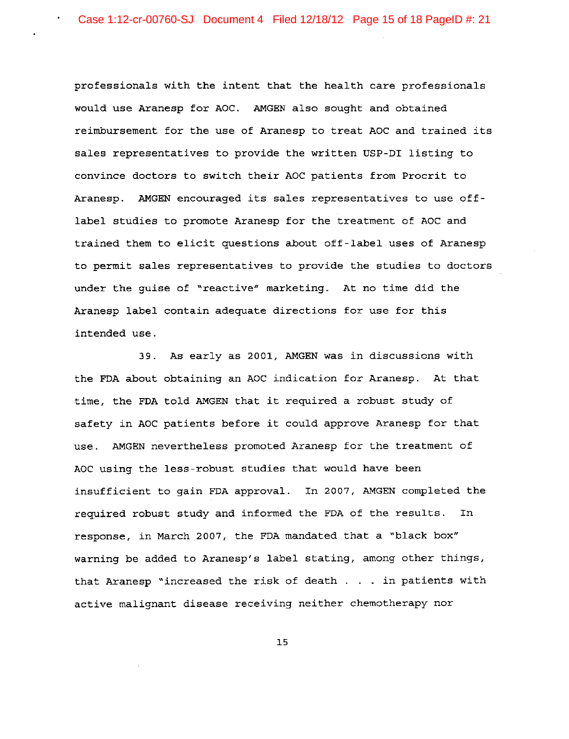professionals with the intent that the health care professionals would use Aranesp for AOC. AMGEN also sought and obtained reimbursement for the use of Aranesp to treat AOC and trained its sales representatives to provide the written USP-DI listing to convince doctors to switch their Aoe patients from Procrit to Aranesp. AMGEN encouraged its sales representatives to use offlabel studies to promote Aranesp for the treatment of AOC and trained them to elicit questions about off-label uses of Aranesp to permit sales representatives to provide the studies to doctors under the guise of "reactive" marketing. At no time did the Aranesp label contain adequate directions for use for this intended use.

39. As early as 2001, AMGEN was in discussions with the FDA about obtaining an Aoe indication for Aranesp. At that time, the FDA told AMGEN that it required a robust study of safety in AOC patients before it could approve Aranesp for that use. AMGEN nevertheless promoted Aranesp for the treatment of AOC using the less-robust studies that would have been insufficient to gain FDA approval. In 2007, AMGEN completed the required robust study and informed the FDA of the results. In response, in March 2007, the FDA mandated that a "black box" warning be added to Aranesp's label stating, among other things, that Aranesp "increased the risk of death . . in patients with active malignant disease receiving neither chemotherapy nor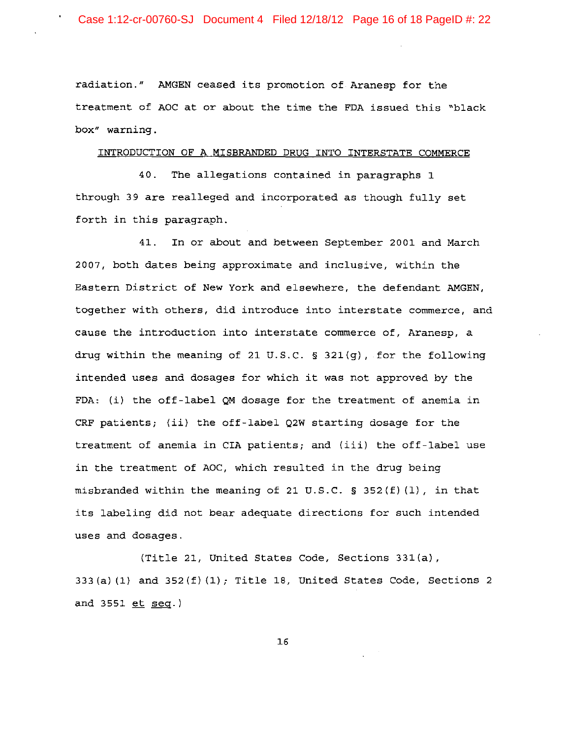radiation." AMGEN ceased its promotion of Aranesp for the treatment of AOC at or about the time the FDA issued this "black *box"* **warning.** 

#### INTRODUCTION OF A MISBRANDED DRUG INTO INTERSTATE COMMERCE

40. The allegations contained in paragraphs 1 through 39 are realleged and incorporated as though fully set forth in this paragraph.

41. In or about and between September 2001 and March 2007, both dates being approximate and inclusive, within the Eastern District of New York and elsewhere, the defendant AMGEN, together with others, did introduce into interstate commerce, and cause the introduction into interstate commerce of, Aranesp, a drug within the meaning of 21 U.S.C. § 321(g), for the following intended uses and dosages for which it was not approved by the FDA: (i) the off-label QM dosage for the treatment of anemia in CRF patients; (ii) the off-label Q2W starting dosage for the treatment of anemia in CIA patients; and (iii) the off-label use in the treatment of AOC, which resulted in the drug being misbranded within the meaning of 21 U.S.C. § 352(f)(1), in that its labeling did not bear adequate directions for such intended uses and dosages.

(Title 21, United States Code, Sections 331(a), 333(a) (1) and 352(f) (1); Title 18, United States Code, Sections 2 and 3551 et seq.)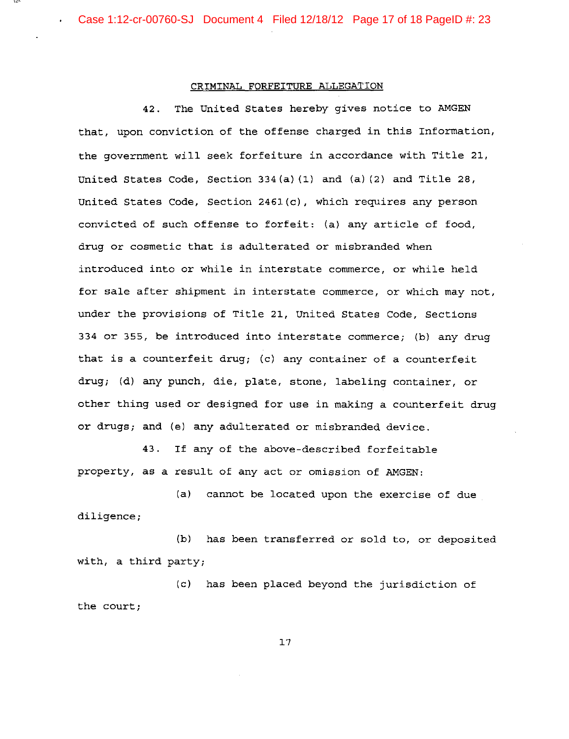Case 1:12-cr-00760-SJ Document 4 Filed 12/18/12 Page 17 of 18 PageID #: 23

# CRIMINAL FORFEITURE ALLEGATION

42. The United States hereby gives notice to AMGEN that, upon conviction of the offense charged in this Information, the government will seek forfeiture in accordance with Title 21, United States Code, Section 334(a) (1) and (a) (2) and Title 28, United States Code, Section 2461(c), which requires any person convicted of such offense to forfeit: (a) any article of food, drug or cosmetic that is adulterated or misbranded when introduced into or while in interstate commerce, or while held for sale after shipment in interstate commerce, or which may not, under the provisions of Title 21, United States Code, Sections 334 or 355, be introduced into interstate commerce; (b) any drug that is a counterfeit drug; (c) any container of a counterfeit drug; (d) any punch, die, plate, stone, labeling container, or other thing used or designed for use in making a counterfeit drug or drugs; and (e) any adulterated or misbranded device.

43. If any of the above-described forfeitable property, as a result of any act or omission of AMGEN:

(a) cannot be located upon the exercise of due diligence;

(b) has been transferred or sold to, or deposited with, a third party;

(c) has been placed beyond the jurisdiction of the court;